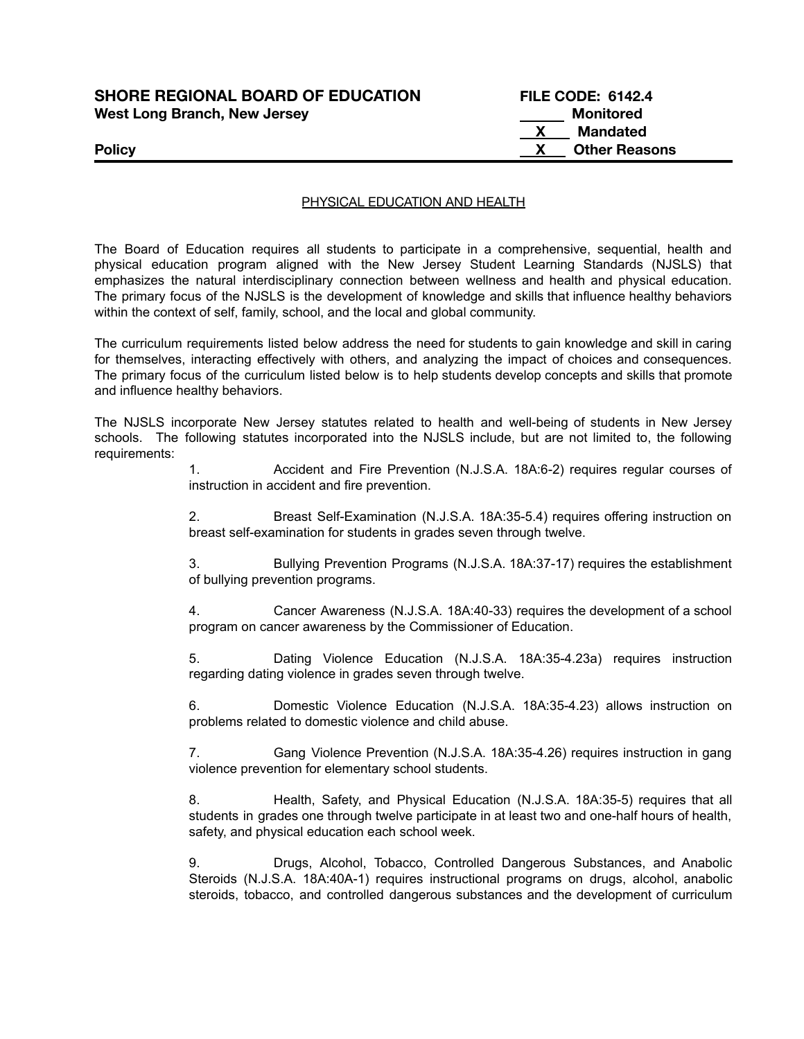## **SHORE REGIONAL BOARD OF EDUCATION FILE CODE: 6142.4 West Long Branch, New Jersey Monitored**

**X Mandated Policy X Other Reasons**

#### PHYSICAL EDUCATION AND HEALTH

The Board of Education requires all students to participate in a comprehensive, sequential, health and physical education program aligned with the New Jersey Student Learning Standards (NJSLS) that emphasizes the natural interdisciplinary connection between wellness and health and physical education. The primary focus of the NJSLS is the development of knowledge and skills that influence healthy behaviors within the context of self, family, school, and the local and global community.

The curriculum requirements listed below address the need for students to gain knowledge and skill in caring for themselves, interacting effectively with others, and analyzing the impact of choices and consequences. The primary focus of the curriculum listed below is to help students develop concepts and skills that promote and influence healthy behaviors.

The NJSLS incorporate New Jersey statutes related to health and well-being of students in New Jersey schools. The following statutes incorporated into the NJSLS include, but are not limited to, the following requirements:

> 1. Accident and Fire Prevention (N.J.S.A. 18A:6-2) requires regular courses of instruction in accident and fire prevention.

> 2. Breast Self-Examination (N.J.S.A. 18A:35-5.4) requires offering instruction on breast self-examination for students in grades seven through twelve.

> 3. Bullying Prevention Programs (N.J.S.A. 18A:37-17) requires the establishment of bullying prevention programs.

> 4. Cancer Awareness (N.J.S.A. 18A:40-33) requires the development of a school program on cancer awareness by the Commissioner of Education.

> 5. Dating Violence Education (N.J.S.A. 18A:35-4.23a) requires instruction regarding dating violence in grades seven through twelve.

> 6. Domestic Violence Education (N.J.S.A. 18A:35-4.23) allows instruction on problems related to domestic violence and child abuse.

> 7. Gang Violence Prevention (N.J.S.A. 18A:35-4.26) requires instruction in gang violence prevention for elementary school students.

> 8. Health, Safety, and Physical Education (N.J.S.A. 18A:35-5) requires that all students in grades one through twelve participate in at least two and one-half hours of health, safety, and physical education each school week.

> 9. Drugs, Alcohol, Tobacco, Controlled Dangerous Substances, and Anabolic Steroids (N.J.S.A. 18A:40A-1) requires instructional programs on drugs, alcohol, anabolic steroids, tobacco, and controlled dangerous substances and the development of curriculum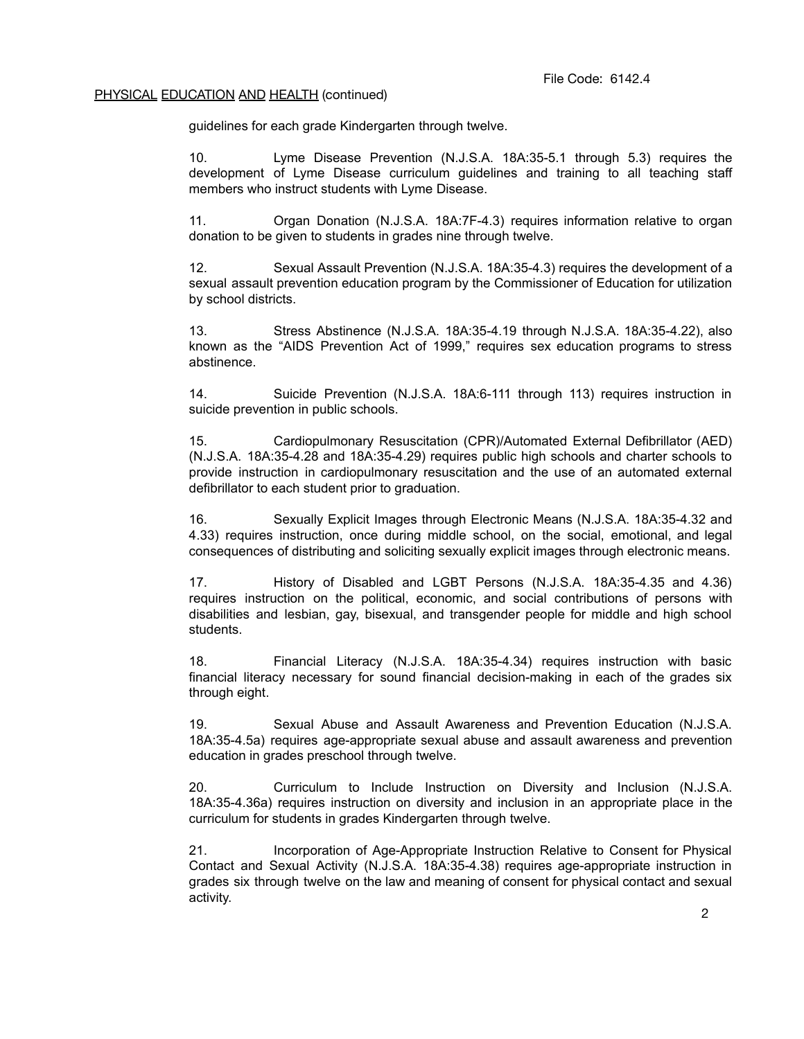guidelines for each grade Kindergarten through twelve.

10. Lyme Disease Prevention (N.J.S.A. 18A:35-5.1 through 5.3) requires the development of Lyme Disease curriculum guidelines and training to all teaching staff members who instruct students with Lyme Disease.

11. Organ Donation (N.J.S.A. 18A:7F-4.3) requires information relative to organ donation to be given to students in grades nine through twelve.

12. Sexual Assault Prevention (N.J.S.A. 18A:35-4.3) requires the development of a sexual assault prevention education program by the Commissioner of Education for utilization by school districts.

13. Stress Abstinence (N.J.S.A. 18A:35-4.19 through N.J.S.A. 18A:35-4.22), also known as the "AIDS Prevention Act of 1999," requires sex education programs to stress abstinence.

14. Suicide Prevention (N.J.S.A. 18A:6-111 through 113) requires instruction in suicide prevention in public schools.

15. Cardiopulmonary Resuscitation (CPR)/Automated External Defibrillator (AED) (N.J.S.A. 18A:35-4.28 and 18A:35-4.29) requires public high schools and charter schools to provide instruction in cardiopulmonary resuscitation and the use of an automated external defibrillator to each student prior to graduation.

16. Sexually Explicit Images through Electronic Means (N.J.S.A. 18A:35-4.32 and 4.33) requires instruction, once during middle school, on the social, emotional, and legal consequences of distributing and soliciting sexually explicit images through electronic means.

17. History of Disabled and LGBT Persons (N.J.S.A. 18A:35-4.35 and 4.36) requires instruction on the political, economic, and social contributions of persons with disabilities and lesbian, gay, bisexual, and transgender people for middle and high school students.

18. Financial Literacy (N.J.S.A. 18A:35-4.34) requires instruction with basic financial literacy necessary for sound financial decision-making in each of the grades six through eight.

19. Sexual Abuse and Assault Awareness and Prevention Education (N.J.S.A. 18A:35-4.5a) requires age-appropriate sexual abuse and assault awareness and prevention education in grades preschool through twelve.

20. Curriculum to Include Instruction on Diversity and Inclusion (N.J.S.A. 18A:35-4.36a) requires instruction on diversity and inclusion in an appropriate place in the curriculum for students in grades Kindergarten through twelve.

21. Incorporation of Age-Appropriate Instruction Relative to Consent for Physical Contact and Sexual Activity (N.J.S.A. 18A:35-4.38) requires age-appropriate instruction in grades six through twelve on the law and meaning of consent for physical contact and sexual activity.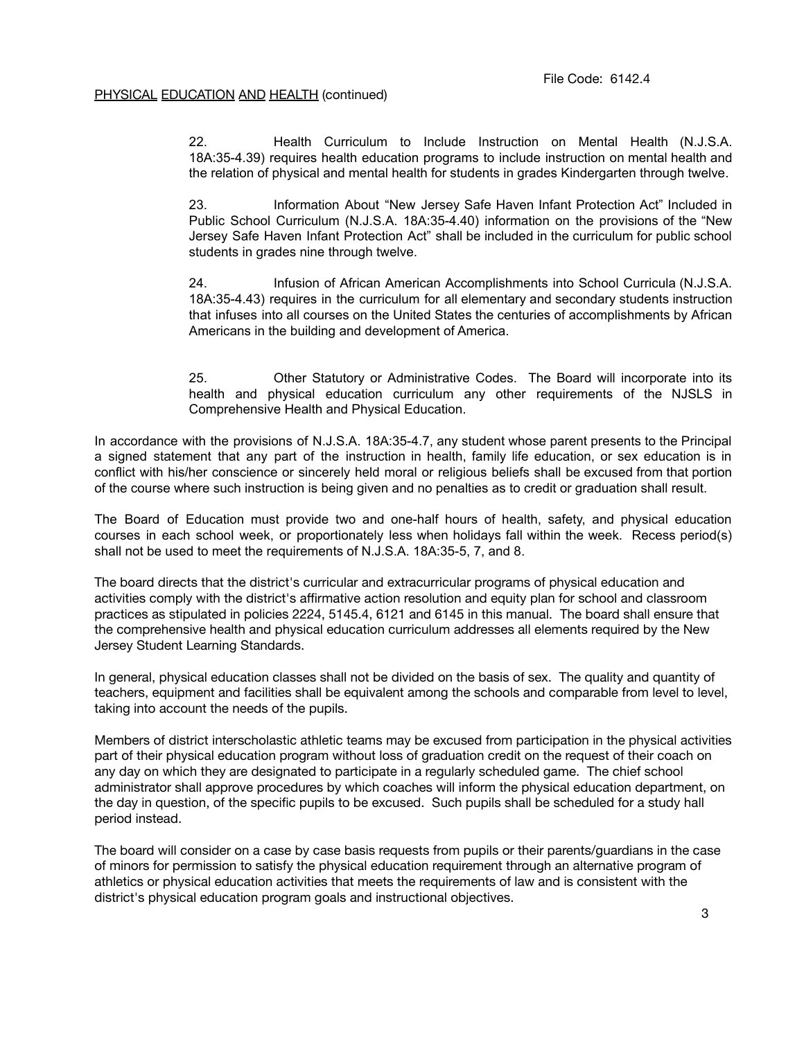22. Health Curriculum to Include Instruction on Mental Health (N.J.S.A. 18A:35-4.39) requires health education programs to include instruction on mental health and the relation of physical and mental health for students in grades Kindergarten through twelve.

23. Information About "New Jersey Safe Haven Infant Protection Act" Included in Public School Curriculum (N.J.S.A. 18A:35-4.40) information on the provisions of the "New Jersey Safe Haven Infant Protection Act" shall be included in the curriculum for public school students in grades nine through twelve.

24. Infusion of African American Accomplishments into School Curricula (N.J.S.A. 18A:35-4.43) requires in the curriculum for all elementary and secondary students instruction that infuses into all courses on the United States the centuries of accomplishments by African Americans in the building and development of America.

25. Other Statutory or Administrative Codes. The Board will incorporate into its health and physical education curriculum any other requirements of the NJSLS in Comprehensive Health and Physical Education.

In accordance with the provisions of N.J.S.A. 18A:35-4.7, any student whose parent presents to the Principal a signed statement that any part of the instruction in health, family life education, or sex education is in conflict with his/her conscience or sincerely held moral or religious beliefs shall be excused from that portion of the course where such instruction is being given and no penalties as to credit or graduation shall result.

The Board of Education must provide two and one-half hours of health, safety, and physical education courses in each school week, or proportionately less when holidays fall within the week. Recess period(s) shall not be used to meet the requirements of N.J.S.A. 18A:35-5, 7, and 8.

The board directs that the district's curricular and extracurricular programs of physical education and activities comply with the district's affirmative action resolution and equity plan for school and classroom practices as stipulated in policies 2224, 5145.4, 6121 and 6145 in this manual. The board shall ensure that the comprehensive health and physical education curriculum addresses all elements required by the New Jersey Student Learning Standards.

In general, physical education classes shall not be divided on the basis of sex. The quality and quantity of teachers, equipment and facilities shall be equivalent among the schools and comparable from level to level, taking into account the needs of the pupils.

Members of district interscholastic athletic teams may be excused from participation in the physical activities part of their physical education program without loss of graduation credit on the request of their coach on any day on which they are designated to participate in a regularly scheduled game. The chief school administrator shall approve procedures by which coaches will inform the physical education department, on the day in question, of the specific pupils to be excused. Such pupils shall be scheduled for a study hall period instead.

The board will consider on a case by case basis requests from pupils or their parents/guardians in the case of minors for permission to satisfy the physical education requirement through an alternative program of athletics or physical education activities that meets the requirements of law and is consistent with the district's physical education program goals and instructional objectives.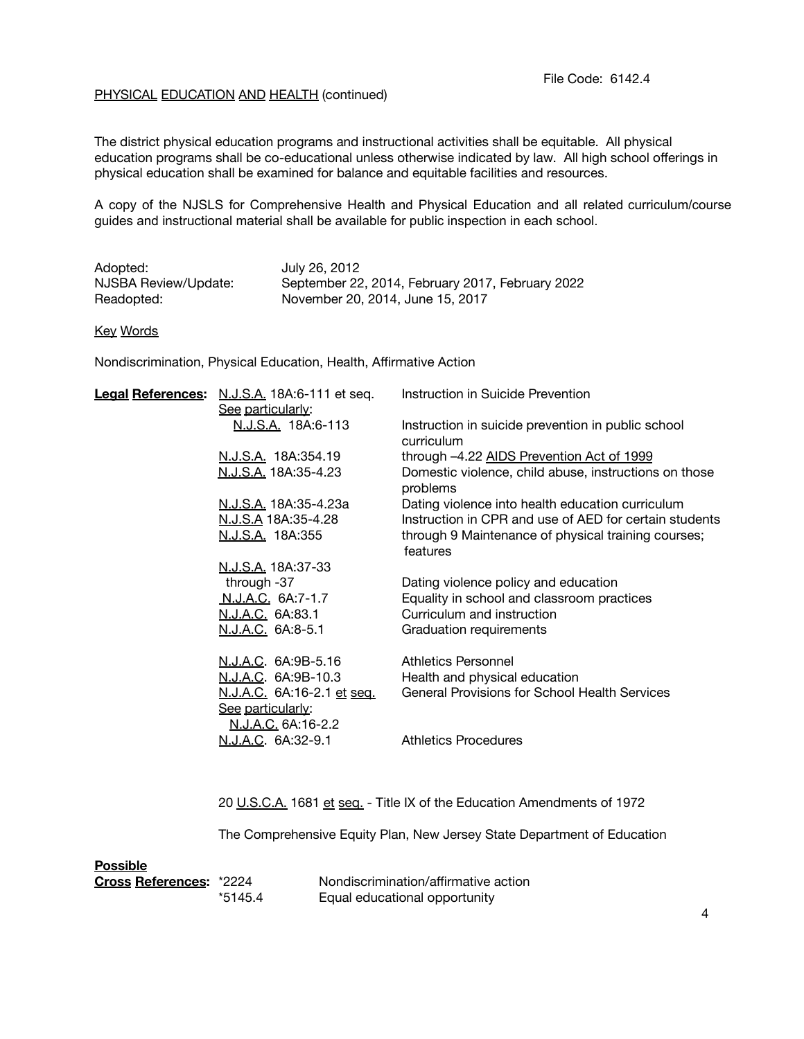The district physical education programs and instructional activities shall be equitable. All physical education programs shall be co-educational unless otherwise indicated by law. All high school offerings in physical education shall be examined for balance and equitable facilities and resources.

A copy of the NJSLS for Comprehensive Health and Physical Education and all related curriculum/course guides and instructional material shall be available for public inspection in each school.

| Adopted:             | July 26, 2012                                    |
|----------------------|--------------------------------------------------|
| NJSBA Review/Update: | September 22, 2014, February 2017, February 2022 |
| Readopted:           | November 20, 2014, June 15, 2017                 |

#### Key Words

Nondiscrimination, Physical Education, Health, Affirmative Action

| Legal References: N.J.S.A. 18A:6-111 et seq. | Instruction in Suicide Prevention                                 |
|----------------------------------------------|-------------------------------------------------------------------|
| See particularly:                            |                                                                   |
| N.J.S.A. 18A:6-113                           | Instruction in suicide prevention in public school                |
|                                              | curriculum                                                        |
| N.J.S.A. 18A:354.19                          | through -4.22 AIDS Prevention Act of 1999                         |
| N.J.S.A. 18A:35-4.23                         | Domestic violence, child abuse, instructions on those<br>problems |
| <u>N.J.S.A.</u> 18A:35-4.23a                 | Dating violence into health education curriculum                  |
| N.J.S.A 18A:35-4.28                          | Instruction in CPR and use of AED for certain students            |
| <u>N.J.S.A.</u> 18A:355                      | through 9 Maintenance of physical training courses;               |
|                                              | features                                                          |
| <u>N.J.S.A.</u> 18A:37-33                    |                                                                   |
| through -37                                  | Dating violence policy and education                              |
| <u>N.J.A.C.</u> 6A:7-1.7                     | Equality in school and classroom practices                        |
| <u>N.J.A.C.</u> 6A:83.1                      | Curriculum and instruction                                        |
| <u>N.J.A.C.</u> 6A:8-5.1                     | Graduation requirements                                           |
| N.J.A.C. 6A:9B-5.16                          | Athletics Personnel                                               |
| <u>N.J.A.C</u> . 6A:9B-10.3                  | Health and physical education                                     |
| <u>N.J.A.C.</u> 6A:16-2.1 <u>et sea.</u>     | <b>General Provisions for School Health Services</b>              |
| See particularly:                            |                                                                   |
| N.J.A.C. 6A:16-2.2                           |                                                                   |
| N.J.A.C. 6A:32-9.1                           | <b>Athletics Procedures</b>                                       |
|                                              |                                                                   |
|                                              |                                                                   |

20 U.S.C.A. 1681 et seq. - Title IX of the Education Amendments of 1972

The Comprehensive Equity Plan, New Jersey State Department of Education

| <b>Possible</b>                |         |                                      |
|--------------------------------|---------|--------------------------------------|
| <b>Cross References: *2224</b> |         | Nondiscrimination/affirmative action |
|                                | *5145.4 | Equal educational opportunity        |